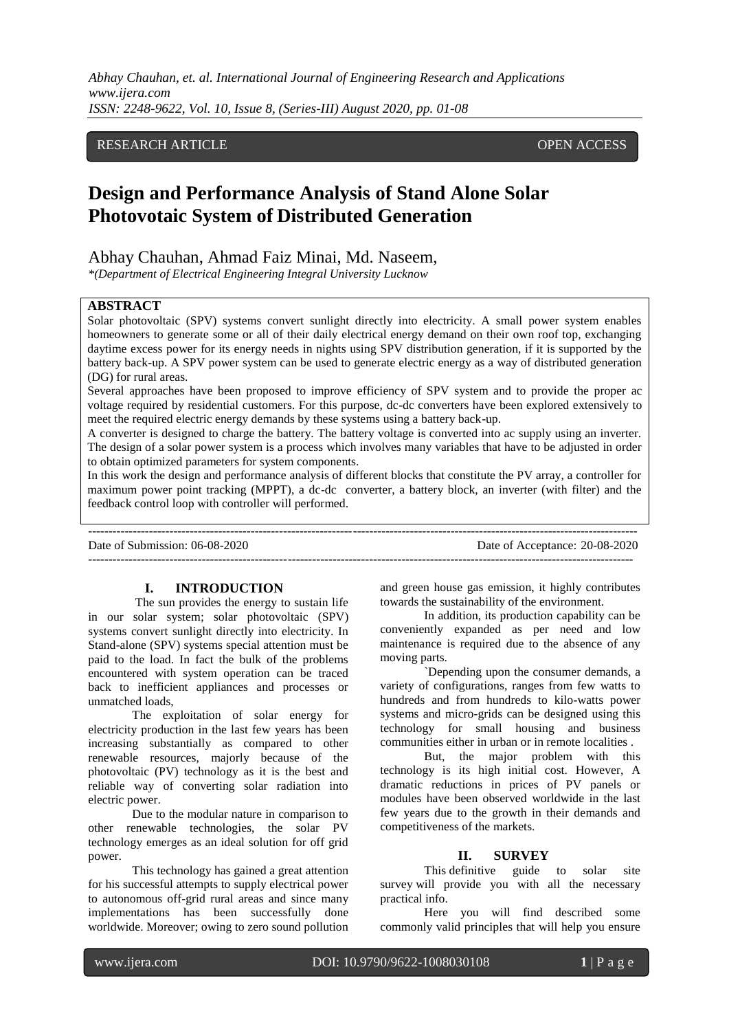### RESEARCH ARTICLE **CONSERVERS** OPEN ACCESS

# **Design and Performance Analysis of Stand Alone Solar Photovotaic System of Distributed Generation**

Abhay Chauhan, Ahmad Faiz Minai, Md. Naseem,

*\*(Department of Electrical Engineering Integral University Lucknow*

### **ABSTRACT**

Solar photovoltaic (SPV) systems convert sunlight directly into electricity. A small power system enables homeowners to generate some or all of their daily electrical energy demand on their own roof top, exchanging daytime excess power for its energy needs in nights using SPV distribution generation, if it is supported by the battery back-up. A SPV power system can be used to generate electric energy as a way of distributed generation (DG) for rural areas.

Several approaches have been proposed to improve efficiency of SPV system and to provide the proper ac voltage required by residential customers. For this purpose, dc-dc converters have been explored extensively to meet the required electric energy demands by these systems using a battery back-up.

A converter is designed to charge the battery. The battery voltage is converted into ac supply using an inverter. The design of a solar power system is a process which involves many variables that have to be adjusted in order to obtain optimized parameters for system components.

In this work the design and performance analysis of different blocks that constitute the PV array, a controller for maximum power point tracking (MPPT), a dc-dc converter, a battery block, an inverter (with filter) and the feedback control loop with controller will performed.

---------------------------------------------------------------------------------------------------------------------------------------

Date of Submission: 06-08-2020 Date of Acceptance: 20-08-2020 --------------------------------------------------------------------------------------------------------------------------------------

#### **I. INTRODUCTION**

The sun provides the energy to sustain life in our solar system; solar photovoltaic (SPV) systems convert sunlight directly into electricity. In Stand-alone (SPV) systems special attention must be paid to the load. In fact the bulk of the problems encountered with system operation can be traced back to inefficient appliances and processes or unmatched loads,

The exploitation of solar energy for electricity production in the last few years has been increasing substantially as compared to other renewable resources, majorly because of the photovoltaic (PV) technology as it is the best and reliable way of converting solar radiation into electric power.

Due to the modular nature in comparison to other renewable technologies, the solar PV technology emerges as an ideal solution for off grid power.

This technology has gained a great attention for his successful attempts to supply electrical power to autonomous off-grid rural areas and since many implementations has been successfully done worldwide. Moreover; owing to zero sound pollution

and green house gas emission, it highly contributes towards the sustainability of the environment.

In addition, its production capability can be conveniently expanded as per need and low maintenance is required due to the absence of any moving parts.

`Depending upon the consumer demands, a variety of configurations, ranges from few watts to hundreds and from hundreds to kilo-watts power systems and micro-grids can be designed using this technology for small housing and business communities either in urban or in remote localities .

But, the major problem with this technology is its high initial cost. However, A dramatic reductions in prices of PV panels or modules have been observed worldwide in the last few years due to the growth in their demands and competitiveness of the markets.

#### **II. SURVEY**

This definitive guide to solar site survey will provide you with all the necessary practical info.

Here you will find described some commonly valid principles that will help you ensure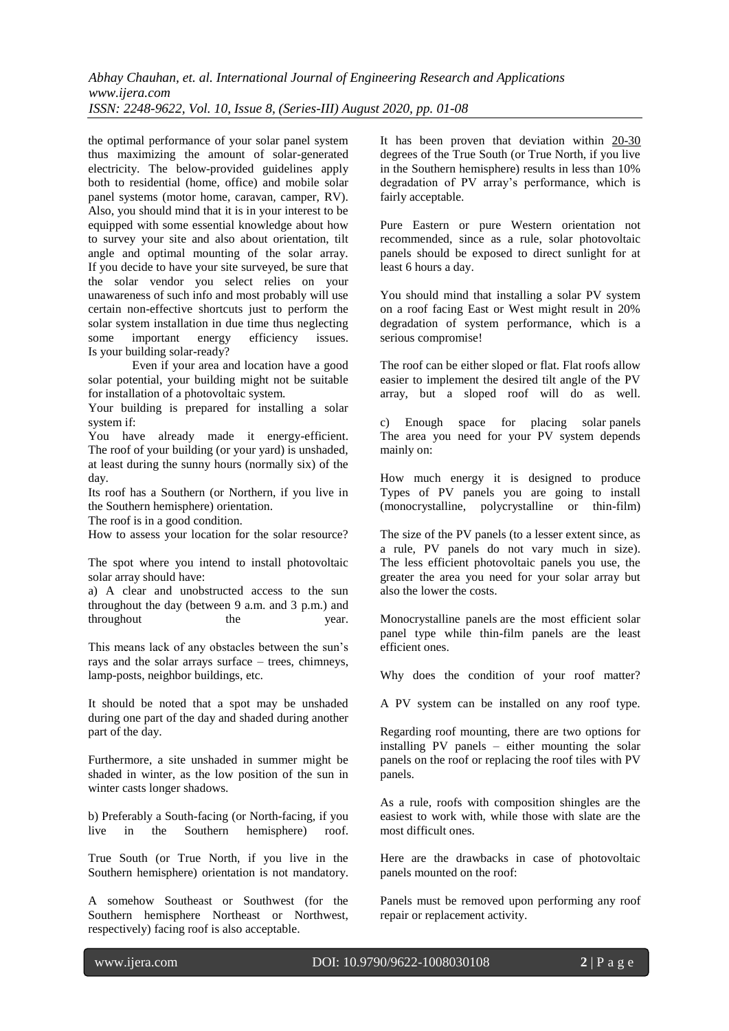the optimal performance of your solar panel system thus maximizing the amount of solar-generated electricity. The below-provided guidelines apply both to residential (home, office) and mobile solar panel systems (motor home, caravan, camper, RV). Also, you should mind that it is in your interest to be equipped with some essential knowledge about how to survey your site and also about orientation, tilt angle and optimal mounting of the solar array. If you decide to have your site surveyed, be sure that the solar vendor you select relies on your unawareness of such info and most probably will use certain non-effective shortcuts just to perform the solar system installation in due time thus neglecting some important energy efficiency issues. Is your building solar-ready?

Even if your area and location have a good solar potential, your building might not be suitable for installation of a photovoltaic system.

Your building is prepared for installing a solar system if:

You have already made it energy-efficient. The roof of your building (or your yard) is unshaded, at least during the sunny hours (normally six) of the day.

Its roof has a Southern (or Northern, if you live in the Southern hemisphere) orientation.

The roof is in a good condition.

How to assess your location for the solar resource?

The spot where you intend to install photovoltaic solar array should have:

a) A clear and unobstructed access to the sun throughout the day (between 9 a.m. and 3 p.m.) and throughout the vear.

This means lack of any obstacles between the sun's rays and the solar arrays surface – trees, chimneys, lamp-posts, neighbor buildings, etc.

It should be noted that a spot may be unshaded during one part of the day and shaded during another part of the day.

Furthermore, a site unshaded in summer might be shaded in winter, as the low position of the sun in winter casts longer shadows.

b) Preferably a South-facing (or North-facing, if you live in the Southern hemisphere) roof.

True South (or True North, if you live in the Southern hemisphere) orientation is not mandatory.

A somehow Southeast or Southwest (for the Southern hemisphere Northeast or Northwest, respectively) facing roof is also acceptable.

It has been proven that deviation within [20-30](tel:20-30) degrees of the True South (or True North, if you live in the Southern hemisphere) results in less than 10% degradation of PV array's performance, which is fairly acceptable.

Pure Eastern or pure Western orientation not recommended, since as a rule, solar photovoltaic panels should be exposed to direct sunlight for at least 6 hours a day.

You should mind that installing a solar PV system on a roof facing East or West might result in 20% degradation of system performance, which is a serious compromise!

The roof can be either sloped or flat. Flat roofs allow easier to implement the desired tilt angle of the PV array, but a sloped roof will do as well.

c) Enough space for placing solar panels The area you need for your PV system depends mainly on:

How much energy it is designed to produce Types of PV panels you are going to install (monocrystalline, polycrystalline or thin-film)

The size of the PV panels (to a lesser extent since, as a rule, PV panels do not vary much in size). The less efficient photovoltaic panels you use, the greater the area you need for your solar array but also the lower the costs.

Monocrystalline panels are the most efficient solar panel type while thin-film panels are the least efficient ones.

Why does the condition of your roof matter?

A PV system can be installed on any roof type.

Regarding roof mounting, there are two options for installing PV panels – either mounting the solar panels on the roof or replacing the roof tiles with PV panels.

As a rule, roofs with composition shingles are the easiest to work with, while those with slate are the most difficult ones.

Here are the drawbacks in case of photovoltaic panels mounted on the roof:

Panels must be removed upon performing any roof repair or replacement activity.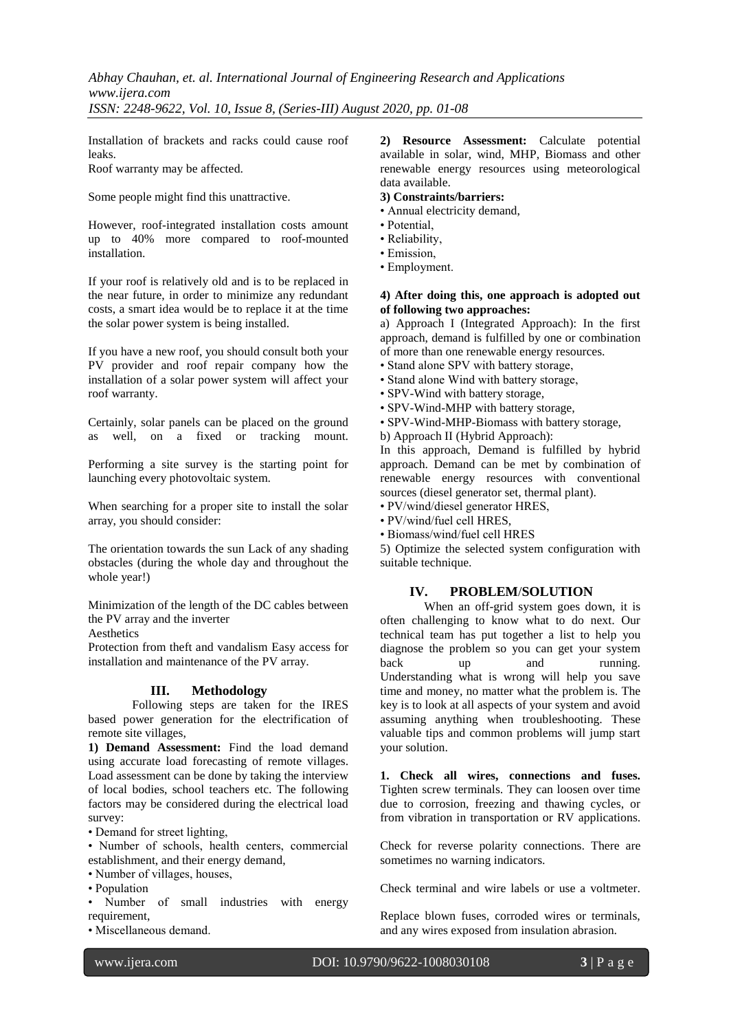Installation of brackets and racks could cause roof leaks.

Roof warranty may be affected.

Some people might find this unattractive.

However, roof-integrated installation costs amount up to 40% more compared to roof-mounted installation.

If your roof is relatively old and is to be replaced in the near future, in order to minimize any redundant costs, a smart idea would be to replace it at the time the solar power system is being installed.

If you have a new roof, you should consult both your PV provider and roof repair company how the installation of a solar power system will affect your roof warranty.

Certainly, solar panels can be placed on the ground as well, on a fixed or tracking mount.

Performing a site survey is the starting point for launching every photovoltaic system.

When searching for a proper site to install the solar array, you should consider:

The orientation towards the sun Lack of any shading obstacles (during the whole day and throughout the whole year!)

Minimization of the length of the DC cables between the PV array and the inverter

Aesthetics

Protection from theft and vandalism Easy access for installation and maintenance of the PV array.

#### **III. Methodology**

Following steps are taken for the IRES based power generation for the electrification of remote site villages,

**1) Demand Assessment:** Find the load demand using accurate load forecasting of remote villages. Load assessment can be done by taking the interview of local bodies, school teachers etc. The following factors may be considered during the electrical load survey:

• Demand for street lighting,

• Number of schools, health centers, commercial establishment, and their energy demand,

• Number of villages, houses,

- Population
- Number of small industries with energy requirement,

• Miscellaneous demand.

**2) Resource Assessment:** Calculate potential available in solar, wind, MHP, Biomass and other renewable energy resources using meteorological data available.

### **3) Constraints/barriers:**

- Annual electricity demand,
- Potential,
- Reliability,
- Emission,
- Employment.

#### **4) After doing this, one approach is adopted out of following two approaches:**

a) Approach I (Integrated Approach): In the first approach, demand is fulfilled by one or combination of more than one renewable energy resources.

- Stand alone SPV with battery storage,
- Stand alone Wind with battery storage,
- SPV-Wind with battery storage,
- SPV-Wind-MHP with battery storage,
- SPV-Wind-MHP-Biomass with battery storage,
- b) Approach II (Hybrid Approach):

In this approach, Demand is fulfilled by hybrid approach. Demand can be met by combination of renewable energy resources with conventional sources (diesel generator set, thermal plant).

- PV/wind/diesel generator HRES,
- PV/wind/fuel cell HRES,
- Biomass/wind/fuel cell HRES

5) Optimize the selected system configuration with suitable technique.

#### **IV. PROBLEM**/**SOLUTION**

When an off-grid system goes down, it is often challenging to know what to do next. Our technical team has put together a list to help you diagnose the problem so you can get your system back up and running. Understanding what is wrong will help you save time and money, no matter what the problem is. The key is to look at all aspects of your system and avoid assuming anything when troubleshooting. These valuable tips and common problems will jump start your solution.

**1. Check all wires, connections and fuses.** Tighten screw terminals. They can loosen over time due to corrosion, freezing and thawing cycles, or from vibration in transportation or RV applications.

Check for reverse polarity connections. There are sometimes no warning indicators.

Check terminal and wire labels or use a voltmeter.

Replace blown fuses, corroded wires or terminals, and any wires exposed from insulation abrasion.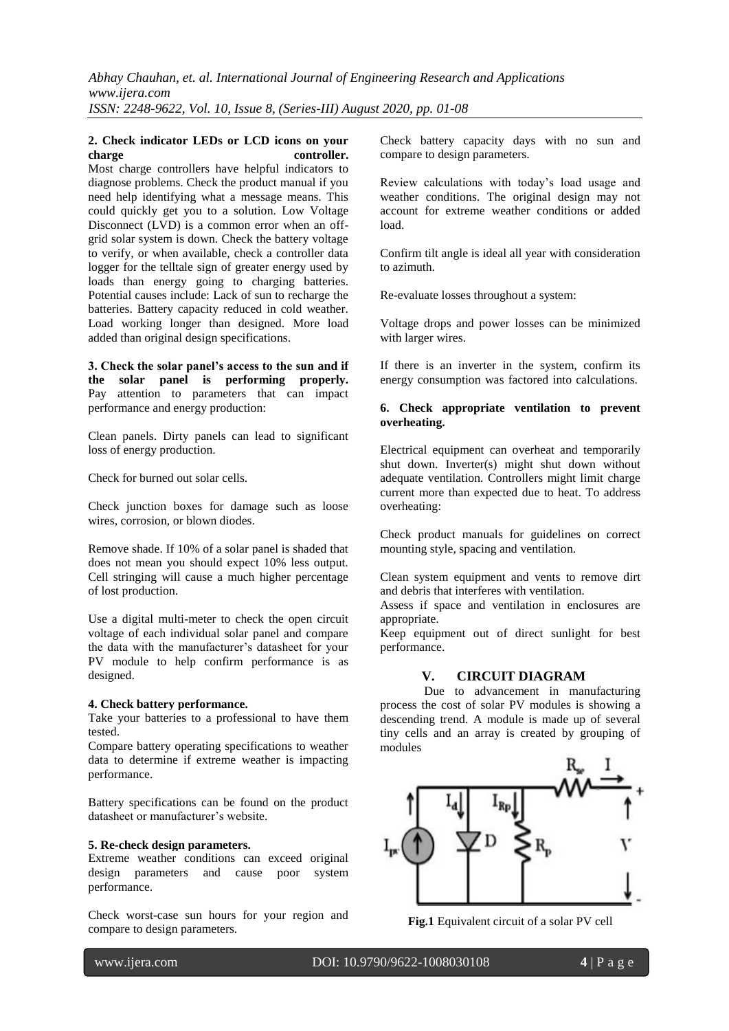#### **2. Check indicator LEDs or LCD icons on your charge controller.**

Most charge controllers have helpful indicators to diagnose problems. Check the product manual if you need help identifying what a message means. This could quickly get you to a solution. Low Voltage Disconnect (LVD) is a common error when an offgrid solar system is down. Check the battery voltage to verify, or when available, check a controller data logger for the telltale sign of greater energy used by loads than energy going to charging batteries. Potential causes include: Lack of sun to recharge the batteries. Battery capacity reduced in cold weather. Load working longer than designed. More load added than original design specifications.

**3. Check the solar panel's access to the sun and if the solar panel is performing properly.** Pay attention to parameters that can impact performance and energy production:

Clean panels. Dirty panels can lead to significant loss of energy production.

Check for burned out solar cells.

Check junction boxes for damage such as loose wires, corrosion, or blown diodes.

Remove shade. If 10% of a solar panel is shaded that does not mean you should expect 10% less output. Cell stringing will cause a much higher percentage of lost production.

Use a digital multi-meter to check the open circuit voltage of each individual solar panel and compare the data with the manufacturer's datasheet for your PV module to help confirm performance is as designed.

#### **4. Check battery performance.**

Take your batteries to a professional to have them tested.

Compare battery operating specifications to weather data to determine if extreme weather is impacting performance.

Battery specifications can be found on the product datasheet or manufacturer's website.

#### **5. Re-check design parameters.**

Extreme weather conditions can exceed original design parameters and cause poor system performance.

Check worst-case sun hours for your region and compare to design parameters.

Check battery capacity days with no sun and compare to design parameters.

Review calculations with today's load usage and weather conditions. The original design may not account for extreme weather conditions or added load.

Confirm tilt angle is ideal all year with consideration to azimuth.

Re-evaluate losses throughout a system:

Voltage drops and power losses can be minimized with larger wires.

If there is an inverter in the system, confirm its energy consumption was factored into calculations.

### **6. Check appropriate ventilation to prevent overheating.**

Electrical equipment can overheat and temporarily shut down. Inverter(s) might shut down without adequate ventilation. Controllers might limit charge current more than expected due to heat. To address overheating:

Check product manuals for guidelines on correct mounting style, spacing and ventilation.

Clean system equipment and vents to remove dirt and debris that interferes with ventilation.

Assess if space and ventilation in enclosures are appropriate.

Keep equipment out of direct sunlight for best performance.

#### **V. CIRCUIT DIAGRAM**

Due to advancement in manufacturing process the cost of solar PV modules is showing a descending trend. A module is made up of several tiny cells and an array is created by grouping of modules



**Fig.1** Equivalent circuit of a solar PV cell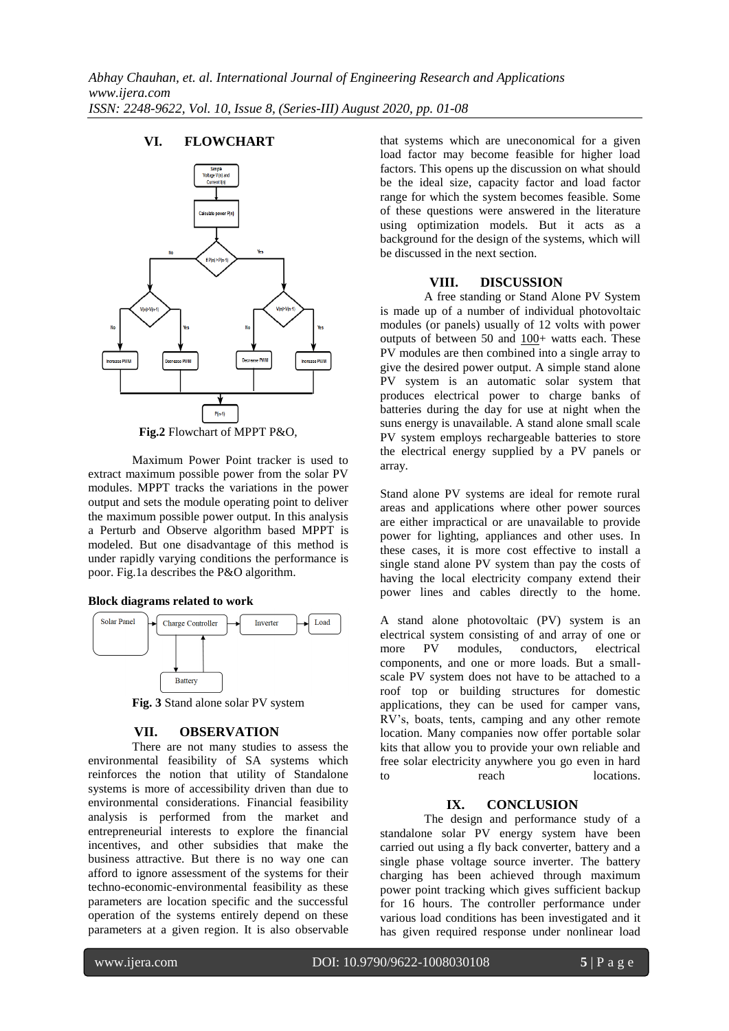## **VI. FLOWCHART**



**Fig.2** Flowchart of MPPT P&O,

Maximum Power Point tracker is used to extract maximum possible power from the solar PV modules. MPPT tracks the variations in the power output and sets the module operating point to deliver the maximum possible power output. In this analysis a Perturb and Observe algorithm based MPPT is modeled. But one disadvantage of this method is under rapidly varying conditions the performance is poor. Fig.1a describes the P&O algorithm.





**Fig. 3** Stand alone solar PV system

# **VII. OBSERVATION**

There are not many studies to assess the environmental feasibility of SA systems which reinforces the notion that utility of Standalone systems is more of accessibility driven than due to environmental considerations. Financial feasibility analysis is performed from the market and entrepreneurial interests to explore the financial incentives, and other subsidies that make the business attractive. But there is no way one can afford to ignore assessment of the systems for their techno-economic-environmental feasibility as these parameters are location specific and the successful operation of the systems entirely depend on these parameters at a given region. It is also observable

that systems which are uneconomical for a given load factor may become feasible for higher load factors. This opens up the discussion on what should be the ideal size, capacity factor and load factor range for which the system becomes feasible. Some of these questions were answered in the literature using optimization models. But it acts as a background for the design of the systems, which will be discussed in the next section.

# **VIII. DISCUSSION**

A free standing or Stand Alone PV System is made up of a number of individual photovoltaic modules (or panels) usually of 12 volts with power outputs of between 50 and  $100+$  watts each. These PV modules are then combined into a single array to give the desired power output. A simple stand alone PV system is an automatic solar system that produces electrical power to charge banks of batteries during the day for use at night when the suns energy is unavailable. A stand alone small scale PV system employs rechargeable batteries to store the electrical energy supplied by a PV panels or array.

Stand alone PV systems are ideal for remote rural areas and applications where other power sources are either impractical or are unavailable to provide power for lighting, appliances and other uses. In these cases, it is more cost effective to install a single stand alone PV system than pay the costs of having the local electricity company extend their power lines and cables directly to the home.

A stand alone photovoltaic (PV) system is an electrical system consisting of and array of one or<br>more PV modules, conductors, electrical more PV modules, conductors, electrical components, and one or more loads. But a smallscale PV system does not have to be attached to a roof top or building structures for domestic applications, they can be used for camper vans, RV's, boats, tents, camping and any other remote location. Many companies now offer portable solar kits that allow you to provide your own reliable and free solar electricity anywhere you go even in hard to reach locations.

# **IX. CONCLUSION**

The design and performance study of a standalone solar PV energy system have been carried out using a fly back converter, battery and a single phase voltage source inverter. The battery charging has been achieved through maximum power point tracking which gives sufficient backup for 16 hours. The controller performance under various load conditions has been investigated and it has given required response under nonlinear load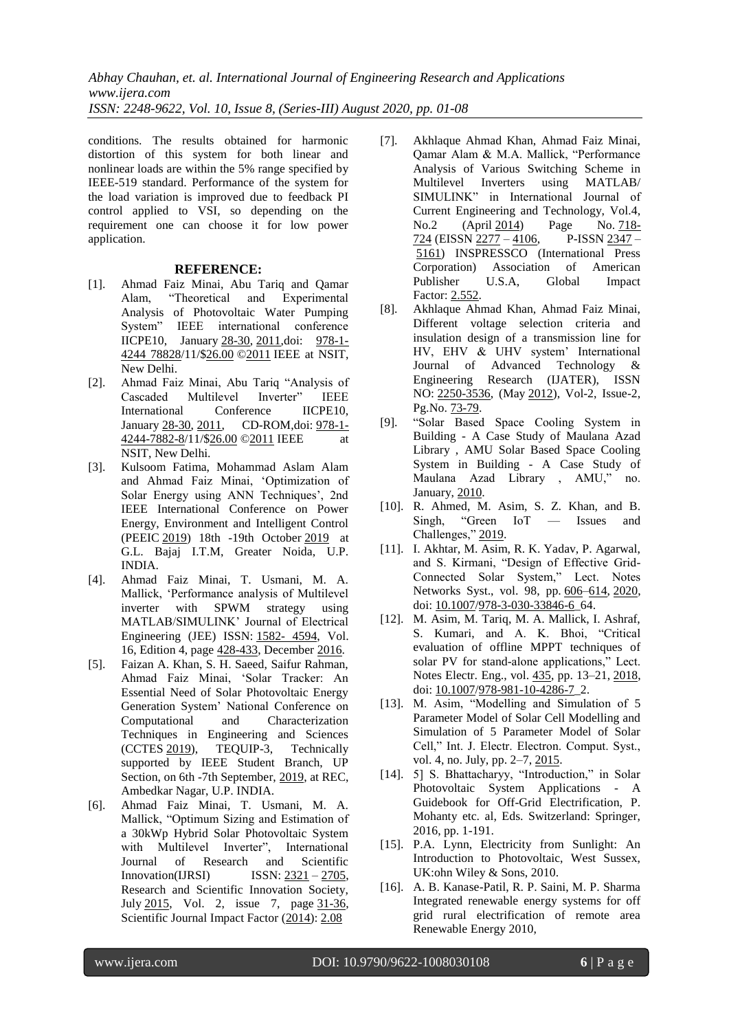conditions. The results obtained for harmonic distortion of this system for both linear and nonlinear loads are within the 5% range specified by IEEE-519 standard. Performance of the system for the load variation is improved due to feedback PI control applied to VSI, so depending on the requirement one can choose it for low power application.

#### **REFERENCE:**

- [1]. Ahmad Faiz Minai, Abu Tariq and Qamar Alam, "Theoretical and Experimental Analysis of Photovoltaic Water Pumping System" IEEE international conference IICPE10, January [28-30,](tel:28-30) [2011,d](tel:2011)oi: [978-1-](tel:978-1-4244-7882-8) [4244 78828/](tel:978-1-4244-7882-8)11/[\\$26.00](tel:26.00) [©2011](tel:2011) IEEE at NSIT, New Delhi.
- [2]. Ahmad Faiz Minai, Abu Tariq "Analysis of Cascaded Multilevel Inverter" IEEE International Conference IICPE10, January [28-30,](tel:28-30) [2011,](tel:2011) CD-ROM,doi: [978-1-](tel:978-1-4244-7882-8) [4244-7882-8/](tel:978-1-4244-7882-8)11/[\\$26.00](tel:26.00) [©2011](tel:2011) IEEE at NSIT, New Delhi.
- [3]. Kulsoom Fatima, Mohammad Aslam Alam and Ahmad Faiz Minai, 'Optimization of Solar Energy using ANN Techniques', 2nd IEEE International Conference on Power Energy, Environment and Intelligent Control (PEEIC [2019\)](tel:2019) 18th -19th October [2019](tel:2019) at G.L. Bajaj I.T.M, Greater Noida, U.P. INDIA.
- [4]. Ahmad Faiz Minai, T. Usmani, M. A. Mallick, ‗Performance analysis of Multilevel inverter with SPWM strategy using MATLAB/SIMULINK' Journal of Electrical Engineering (JEE) ISSN: [1582-](tel:1582-%204594) 4594, Vol. 16, Edition 4, page [428-433,](tel:428-433) December [2016.](tel:2016)
- [5]. Faizan A. Khan, S. H. Saeed, Saifur Rahman, Ahmad Faiz Minai, 'Solar Tracker: An Essential Need of Solar Photovoltaic Energy Generation System' National Conference on Computational and Characterization Techniques in Engineering and Sciences (CCTES [2019\)](tel:2019), TEQUIP-3, Technically supported by IEEE Student Branch, UP Section, on 6th -7th September, [2019,](tel:2019) at REC, Ambedkar Nagar, U.P. INDIA.
- [6]. Ahmad Faiz Minai, T. Usmani, M. A. Mallick, "Optimum Sizing and Estimation of a 30kWp Hybrid Solar Photovoltaic System with Multilevel Inverter", International Journal of Research and Scientific  $Innovation(JIRSI)$  ISSN:  $2321 - 2705$  $2321 - 2705$ , Research and Scientific Innovation Society, July [2015,](tel:2015) Vol. 2, issue 7, page [31-36,](tel:31-36)  Scientific Journal Impact Factor [\(2014\)](tel:2014): [2.08](tel:2.08)
- [7]. Akhlaque Ahmad Khan, Ahmad Faiz Minai, Qamar Alam & M.A. Mallick, "Performance Analysis of Various Switching Scheme in Multilevel Inverters using MATLAB/ SIMULINK" in International Journal of Current Engineering and Technology, Vol.4,<br>No.2 (April 2014) Page No. 718-No.2 (April  $2014$ ) Page [724](tel:718-724) (EISSN [2277](tel:2277) – [4106,](tel:4106) P-ISSN [2347](tel:2347) – [5161\)](tel:5161) INSPRESSCO (International Press Corporation) Association of American Publisher U.S.A, Global Impact Factor: [2.552.](tel:2.552)
- [8]. Akhlaque Ahmad Khan, Ahmad Faiz Minai, Different voltage selection criteria and insulation design of a transmission line for HV, EHV & UHV system' International Journal of Advanced Technology & Engineering Research (IJATER), ISSN NO: [2250-3536,](tel:2250-3536) (May [2012\)](tel:2012), Vol-2, Issue-2, Pg.No. [73-79.](tel:73-79)
- [9]. "Solar Based Space Cooling System in Building - A Case Study of Maulana Azad Library , AMU Solar Based Space Cooling System in Building - A Case Study of Maulana Azad Library , AMU," no. January, [2010.](tel:2010)
- [10]. R. Ahmed, M. Asim, S. Z. Khan, and B. Singh, "Green IoT — Issues and Challenges," [2019.](tel:2019)
- [11]. I. Akhtar, M. Asim, R. K. Yadav, P. Agarwal, and S. Kirmani, "Design of Effective Grid-Connected Solar System," Lect. Notes Networks Syst., vol. 98, pp. [606](tel:606)[–614,](tel:614) [2020,](tel:2020) doi: [10.1007](tel:10.1007)[/978-3-030-33846-6\\_](tel:978-3-030-33846-6)64.
- [12]. M. Asim, M. Tariq, M. A. Mallick, I. Ashraf, S. Kumari, and A. K. Bhoi, "Critical evaluation of offline MPPT techniques of solar PV for stand-alone applications," Lect. Notes Electr. Eng., vol. [435,](tel:435) pp. 13–21, [2018,](tel:2018) doi: [10.1007](tel:10.1007)[/978-981-10-4286-7\\_](tel:978-981-10-4286-7)2.
- [13]. M. Asim, "Modelling and Simulation of 5 Parameter Model of Solar Cell Modelling and Simulation of 5 Parameter Model of Solar Cell," Int. J. Electr. Electron. Comput. Syst., vol. 4, no. July, pp. 2–7, [2015.](tel:2015)
- [14]. 5] S. Bhattacharyy, "Introduction," in Solar Photovoltaic System Applications - A Guidebook for Off-Grid Electrification, P. Mohanty etc. al, Eds. Switzerland: Springer, 2016, pp. 1-191.
- [15]. P.A. Lynn, Electricity from Sunlight: An Introduction to Photovoltaic, West Sussex, UK:ohn Wiley & Sons, 2010.
- [16]. A. B. Kanase-Patil, R. P. Saini, M. P. Sharma Integrated renewable energy systems for off grid rural electrification of remote area Renewable Energy 2010,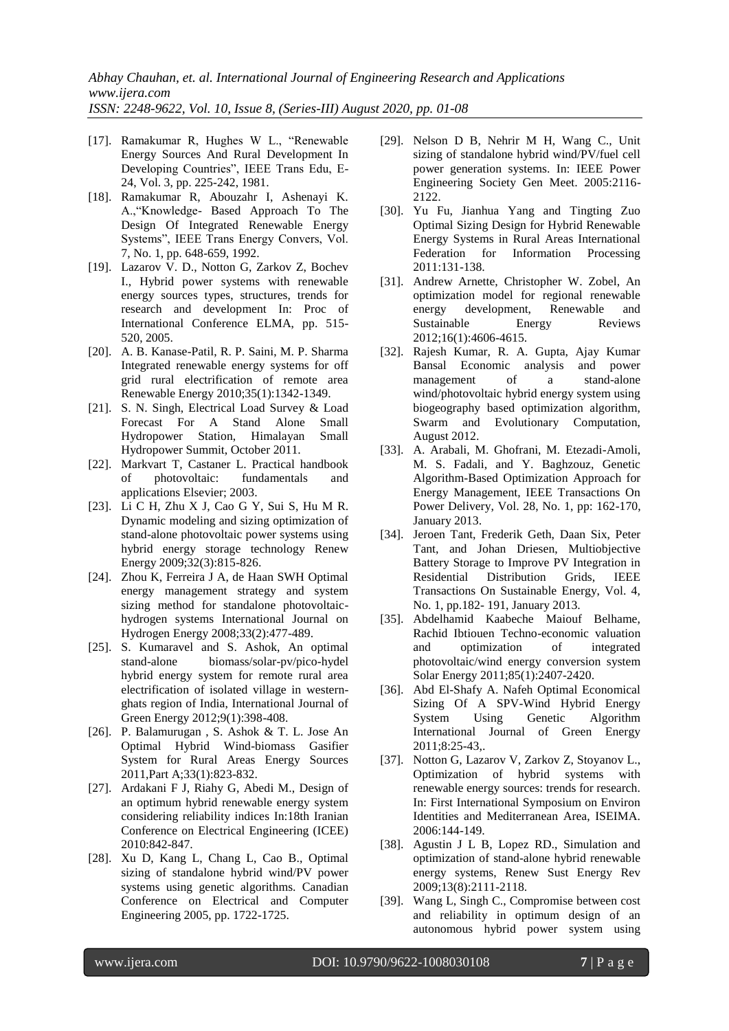- [17]. Ramakumar R, Hughes W L., "Renewable Energy Sources And Rural Development In Developing Countries", IEEE Trans Edu, E-24, Vol. 3, pp. 225-242, 1981.
- [18]. Ramakumar R, Abouzahr I, Ashenayi K. A., "Knowledge- Based Approach To The Design Of Integrated Renewable Energy Systems", IEEE Trans Energy Convers, Vol. 7, No. 1, pp. 648-659, 1992.
- [19]. Lazarov V. D., Notton G, Zarkov Z, Bochev I., Hybrid power systems with renewable energy sources types, structures, trends for research and development In: Proc of International Conference ELMA, pp. 515- 520, 2005.
- [20]. A. B. Kanase-Patil, R. P. Saini, M. P. Sharma Integrated renewable energy systems for off grid rural electrification of remote area Renewable Energy 2010;35(1):1342-1349.
- [21]. S. N. Singh, Electrical Load Survey & Load Forecast For A Stand Alone Small Hydropower Station, Himalayan Small Hydropower Summit, October 2011.
- [22]. Markvart T, Castaner L. Practical handbook of photovoltaic: fundamentals and applications Elsevier; 2003.
- [23]. Li C H, Zhu X J, Cao G Y, Sui S, Hu M R. Dynamic modeling and sizing optimization of stand-alone photovoltaic power systems using hybrid energy storage technology Renew Energy 2009;32(3):815-826.
- [24]. Zhou K, Ferreira J A, de Haan SWH Optimal energy management strategy and system sizing method for standalone photovoltaichydrogen systems International Journal on Hydrogen Energy 2008;33(2):477-489.
- [25]. S. Kumaravel and S. Ashok, An optimal stand-alone biomass/solar-pv/pico-hydel hybrid energy system for remote rural area electrification of isolated village in westernghats region of India, International Journal of Green Energy 2012;9(1):398-408.
- [26]. P. Balamurugan , S. Ashok & T. L. Jose An Optimal Hybrid Wind-biomass Gasifier System for Rural Areas Energy Sources 2011,Part A;33(1):823-832.
- [27]. Ardakani F J, Riahy G, Abedi M., Design of an optimum hybrid renewable energy system considering reliability indices In:18th Iranian Conference on Electrical Engineering (ICEE) 2010:842-847.
- [28]. Xu D, Kang L, Chang L, Cao B., Optimal sizing of standalone hybrid wind/PV power systems using genetic algorithms. Canadian Conference on Electrical and Computer Engineering 2005, pp. 1722-1725.
- [29]. Nelson D B, Nehrir M H, Wang C., Unit sizing of standalone hybrid wind/PV/fuel cell power generation systems. In: IEEE Power Engineering Society Gen Meet. 2005:2116- 2122.
- [30]. Yu Fu, Jianhua Yang and Tingting Zuo Optimal Sizing Design for Hybrid Renewable Energy Systems in Rural Areas International Federation for Information Processing 2011:131-138.
- [31]. Andrew Arnette, Christopher W. Zobel, An optimization model for regional renewable energy development, Renewable and Sustainable Energy Reviews 2012;16(1):4606-4615.
- [32]. Rajesh Kumar, R. A. Gupta, Ajay Kumar Bansal Economic analysis and power management of a stand-alone wind/photovoltaic hybrid energy system using biogeography based optimization algorithm, Swarm and Evolutionary Computation, August 2012.
- [33]. A. Arabali, M. Ghofrani, M. Etezadi-Amoli, M. S. Fadali, and Y. Baghzouz, Genetic Algorithm-Based Optimization Approach for Energy Management, IEEE Transactions On Power Delivery, Vol. 28, No. 1, pp: 162-170, January 2013.
- [34]. Jeroen Tant, Frederik Geth, Daan Six, Peter Tant, and Johan Driesen, Multiobjective Battery Storage to Improve PV Integration in Residential Distribution Grids, IEEE Transactions On Sustainable Energy, Vol. 4, No. 1, pp.182- 191, January 2013.
- [35]. Abdelhamid Kaabeche Maiouf Belhame, Rachid Ibtiouen Techno-economic valuation and optimization of integrated photovoltaic/wind energy conversion system Solar Energy 2011;85(1):2407-2420.
- [36]. Abd El-Shafy A. Nafeh Optimal Economical Sizing Of A SPV-Wind Hybrid Energy System Using Genetic Algorithm International Journal of Green Energy 2011;8:25-43,.
- [37]. Notton G, Lazarov V, Zarkov Z, Stoyanov L., Optimization of hybrid systems with renewable energy sources: trends for research. In: First International Symposium on Environ Identities and Mediterranean Area, ISEIMA. 2006:144-149.
- [38]. Agustin J L B, Lopez RD., Simulation and optimization of stand-alone hybrid renewable energy systems, Renew Sust Energy Rev 2009;13(8):2111-2118.
- [39]. Wang L, Singh C., Compromise between cost and reliability in optimum design of an autonomous hybrid power system using